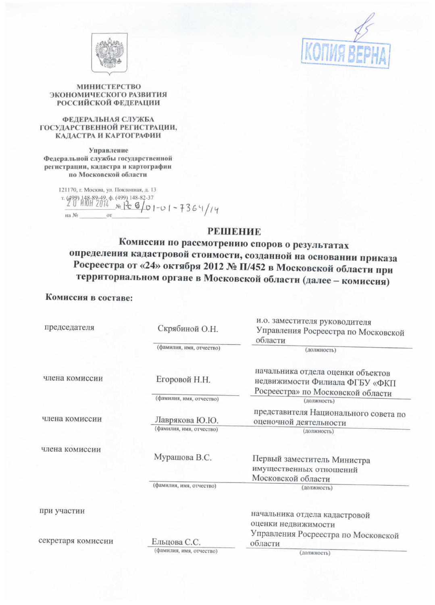



## МИНИСТЕРСТВО ЭКОНОМИЧЕСКОГО РАЗВИТИЯ **РОССИЙСКОЙ ФЕДЕРАЦИИ**

### ФЕДЕРАЛЬНАЯ СЛУЖБА ГОСУДАРСТВЕННОЙ РЕГИСТРАЦИИ, КАДАСТРА И КАРТОГРАФИИ

Управление Федеральной службы государственной регистрации, кадастра и картографии по Московской области

> 121170, г. Москва, ул. Поклонная, д. 13 на  $\rm\thinspace\textsc{Ne}$

## **РЕШЕНИЕ**

Комиссии по рассмотрению споров о результатах определения кадастровой стоимости, созданной на основании приказа Росреестра от «24» октября 2012 № П/452 в Московской области при территориальном органе в Московской области (далее - комиссия)

## Комиссия в составе:

| председателя       | Скрябиной О.Н.                            | и.о. заместителя руководителя<br>Управления Росреестра по Московской<br>области                          |
|--------------------|-------------------------------------------|----------------------------------------------------------------------------------------------------------|
|                    | (фамилия, имя, отчество)                  | (должность)                                                                                              |
| члена комиссии     | Егоровой Н.Н.<br>(фамилия, имя, отчество) | начальника отдела оценки объектов<br>недвижимости Филиала ФГБУ «ФКП<br>Росреестра» по Московской области |
|                    |                                           | (должность)                                                                                              |
| члена комиссии     | Лаврякова Ю.Ю.                            | представителя Национального совета по<br>оценочной деятельности                                          |
|                    | (фамилия, имя, отчество)                  | (должность)                                                                                              |
| члена комиссии     | Мурашова В.С.                             | Первый заместитель Министра<br>имущественных отношений<br>Московской области                             |
|                    | (фамилия, имя, отчество)                  | (должность)                                                                                              |
|                    |                                           |                                                                                                          |
| при участии        |                                           | начальника отдела кадастровой<br>оценки недвижимости                                                     |
| секретаря комиссии | Ельцова С.С.                              | Управления Росреестра по Московской<br>области                                                           |
|                    | (фамилия, имя, отчество)                  | (должность)                                                                                              |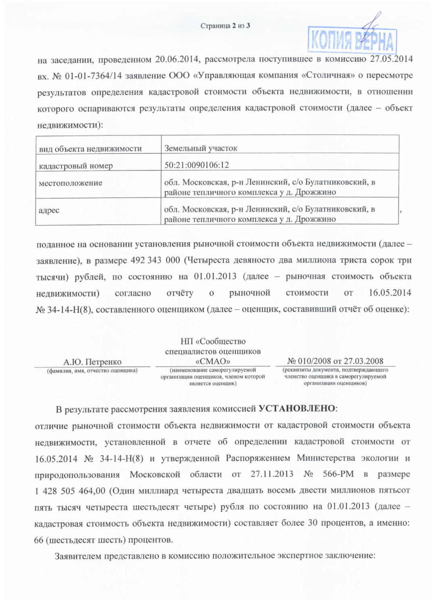

на заседании, проведенном 20.06.2014, рассмотрела поступившее в комиссию 27.05.2014 вх. № 01-01-7364/14 заявление ООО «Управляющая компания «Столичная» о пересмотре результатов определения кадастровой стоимости объекта недвижимости, в отношении которого оспариваются результаты определения кадастровой стоимости (далее - объект недвижимости):

| вид объекта недвижимости | Земельный участок                                                                                  |  |
|--------------------------|----------------------------------------------------------------------------------------------------|--|
| кадастровый номер        | 50:21:0090106:12                                                                                   |  |
| местоположение           | обл. Московская, р-н Ленинский, с/о Булатниковский, в<br>районе тепличного комплекса у д. Дрожжино |  |
| адрес                    | обл. Московская, р-н Ленинский, с/о Булатниковский, в<br>районе тепличного комплекса у д. Дрожжино |  |

поданное на основании установления рыночной стоимости объекта недвижимости (далее заявление), в размере 492 343 000 (Четыреста девяносто два миллиона триста сорок три тысячи) рублей, по состоянию на 01.01.2013 (далее - рыночная стоимость объекта 16.05.2014 согласно отчёту  $\overline{O}$ рыночной стоимости OT недвижимости) № 34-14-Н(8), составленного оценщиком (далее – оценщик, составивший отчёт об оценке):

|                                   | НП «Сообщество                                                                               |                                                                                                         |
|-----------------------------------|----------------------------------------------------------------------------------------------|---------------------------------------------------------------------------------------------------------|
|                                   | специалистов оценщиков                                                                       |                                                                                                         |
| А.Ю. Петренко                     | «CMAO»                                                                                       | № 010/2008 от 27.03.2008                                                                                |
| (фамилия, имя, отчество оценщика) | (наименование саморегулируемой<br>организации оценщиков, членом которой<br>является оценщик) | (реквизиты документа, подтверждающего<br>членство оценщика в саморегулируемой<br>организации оценщиков) |

В результате рассмотрения заявления комиссией УСТАНОВЛЕНО:

отличие рыночной стоимости объекта недвижимости от кадастровой стоимости объекта недвижимости, установленной в отчете об определении кадастровой стоимости от 16.05.2014 № 34-14-Н(8) и утвержденной Распоряжением Министерства экологии и природопользования Московской области от 27.11.2013 № 566-РМ в размере 1 428 505 464,00 (Один миллиард четыреста двадцать восемь двести миллионов пятьсот пять тысяч четыреста шестьдесят четыре) рубля по состоянию на 01.01.2013 (далее кадастровая стоимость объекта недвижимости) составляет более 30 процентов, а именно: 66 (шестьдесят шесть) процентов.

Заявителем представлено в комиссию положительное экспертное заключение: